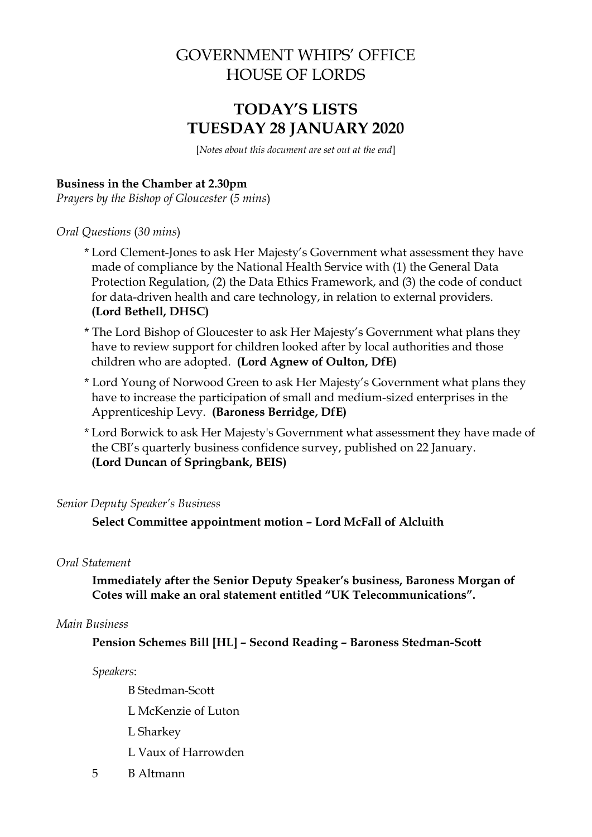# GOVERNMENT WHIPS' OFFICE HOUSE OF LORDS

# **TODAY'S LISTS TUESDAY 28 JANUARY 2020**

[*Notes about this document are set out at the end*]

## **Business in the Chamber at 2.30pm**

*Prayers by the Bishop of Gloucester* (*5 mins*)

### *Oral Questions* (*30 mins*)

- \* Lord Clement-Jones to ask Her Majesty's Government what assessment they have made of compliance by the National Health Service with (1) the General Data Protection Regulation, (2) the Data Ethics Framework, and (3) the code of conduct for data-driven health and care technology, in relation to external providers. **(Lord Bethell, DHSC)**
- \* The Lord Bishop of Gloucester to ask Her Majesty's Government what plans they have to review support for children looked after by local authorities and those children who are adopted. **(Lord Agnew of Oulton, DfE)**
- \* Lord Young of Norwood Green to ask Her Majesty's Government what plans they have to increase the participation of small and medium-sized enterprises in the Apprenticeship Levy. **(Baroness Berridge, DfE)**
- \* Lord Borwick to ask Her Majesty's Government what assessment they have made of the CBI's quarterly business confidence survey, published on 22 January. **(Lord Duncan of Springbank, BEIS)**

## *Senior Deputy Speaker's Business*

**Select Committee appointment motion – Lord McFall of Alcluith**

## *Oral Statement*

**Immediately after the Senior Deputy Speaker's business, Baroness Morgan of Cotes will make an oral statement entitled "UK Telecommunications".** 

### *Main Business*

**Pension Schemes Bill [HL] – Second Reading – Baroness Stedman-Scott**

*Speakers*:

B Stedman-Scott

- L McKenzie of Luton
- L Sharkey
- L Vaux of Harrowden
- 5 B Altmann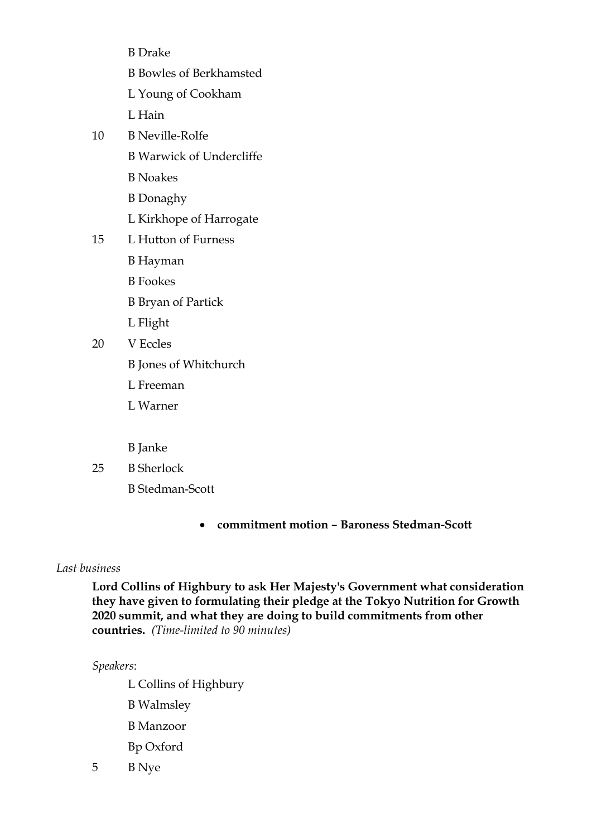- B Drake B Bowles of Berkhamsted L Young of Cookham L Hain 10 B Neville-Rolfe B Warwick of Undercliffe B Noakes B Donaghy L Kirkhope of Harrogate 15 L Hutton of Furness B Hayman B Fookes B Bryan of Partick L Flight 20 V Eccles B Jones of Whitchurch L Freeman L Warner
	- B Janke
- 25 B Sherlock
	- B Stedman-Scott
		- **commitment motion – Baroness Stedman-Scott**

## *Last business*

**Lord Collins of Highbury to ask Her Majesty's Government what consideration they have given to formulating their pledge at the Tokyo Nutrition for Growth 2020 summit, and what they are doing to build commitments from other countries.** *(Time-limited to 90 minutes)*

### *Speakers*:

L Collins of Highbury

- B Walmsley
- B Manzoor
- Bp Oxford
- 5 B Nye